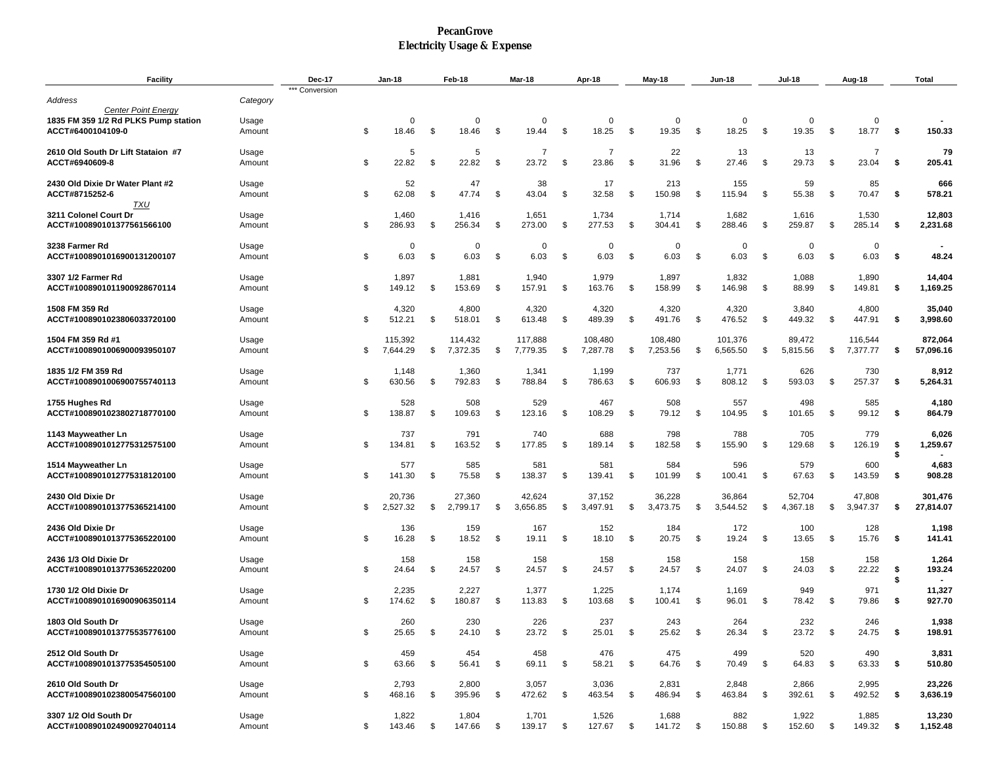## **PecanGrove Electricity Usage & Expense**

| <b>Facility</b>                                                                         |                 | Dec-17         | Jan-18 |                     | Feb-18<br><b>Mar-18</b> |                     |    |                     | Apr-18        |                     | May-18 |                     | Jun-18 |                     | Jul-18 | Aug-18               |      |                         | Total    |                      |
|-----------------------------------------------------------------------------------------|-----------------|----------------|--------|---------------------|-------------------------|---------------------|----|---------------------|---------------|---------------------|--------|---------------------|--------|---------------------|--------|----------------------|------|-------------------------|----------|----------------------|
| Address                                                                                 | Category        | *** Conversion |        |                     |                         |                     |    |                     |               |                     |        |                     |        |                     |        |                      |      |                         |          |                      |
| <b>Center Point Enerav</b><br>1835 FM 359 1/2 Rd PLKS Pump station<br>ACCT#6400104109-0 | Usage<br>Amount |                | \$     | $\Omega$<br>18.46   | \$                      | $\Omega$<br>18.46   | \$ | 0<br>19.44          | -\$           | 0<br>18.25          | -\$    | $\Omega$<br>19.35   | -\$    | 0<br>18.25          | -\$    | $\mathbf 0$<br>19.35 | -\$  | $\Omega$<br>18.77       | -\$      | 150.33               |
| 2610 Old South Dr Lift Stataion #7<br>ACCT#6940609-8                                    | Usage<br>Amount |                | \$     | 5<br>22.82          | \$                      | 5<br>22.82          | \$ | 7<br>23.72          | -\$           | 7<br>23.86          | \$     | 22<br>31.96         | \$     | 13<br>27.46         | \$     | 13<br>29.73          | \$   | $\overline{7}$<br>23.04 | \$       | 79<br>205.41         |
| 2430 Old Dixie Dr Water Plant #2<br>ACCT#8715252-6                                      | Usage<br>Amount |                | \$     | 52<br>62.08         | \$                      | 47<br>47.74         | \$ | 38<br>43.04         | -\$           | 17<br>32.58         | -\$    | 213<br>150.98       | -\$    | 155<br>115.94       | \$     | 59<br>55.38          | \$   | 85<br>70.47             | -\$      | 666<br>578.21        |
| TXU<br>3211 Colonel Court Dr                                                            | Usage           |                |        | 1,460               |                         | 1,416               |    | 1,651               |               | 1,734               |        | 1,714               |        | 1,682               |        | 1,616                |      | 1,530                   |          | 12,803               |
| ACCT#100890101377561566100                                                              | Amount          |                | \$     | 286.93              | \$                      | 256.34              | \$ | 273.00              | -\$           | 277.53              | \$     | 304.41              | \$     | 288.46              | \$     | 259.87               | \$   | 285.14                  | -\$      | 2,231.68             |
| 3238 Farmer Rd<br>ACCT#1008901016900131200107                                           | Usage<br>Amount |                | \$     | $\Omega$<br>6.03    | \$                      | $\mathbf 0$<br>6.03 | \$ | 0<br>6.03           | -\$           | 0<br>6.03           | -\$    | $\Omega$<br>6.03    | -\$    | $\mathbf 0$<br>6.03 | -\$    | 0<br>6.03            | \$   | $\Omega$<br>6.03        | -\$      | 48.24                |
| 3307 1/2 Farmer Rd<br>ACCT#1008901011900928670114                                       | Usage<br>Amount |                | \$     | 1,897<br>149.12     | \$                      | 1,881<br>153.69     | \$ | 1,940<br>157.91     | -\$           | 1,979<br>163.76     | \$     | 1,897<br>158.99     | \$     | 1,832<br>146.98     | \$     | 1,088<br>88.99       | \$   | 1,890<br>149.81         | \$       | 14,404<br>1,169.25   |
| 1508 FM 359 Rd<br>ACCT#1008901023806033720100                                           | Usage<br>Amount |                | \$     | 4,320<br>512.21     | \$                      | 4,800<br>518.01     | \$ | 4,320<br>613.48     | \$            | 4,320<br>489.39     | \$     | 4,320<br>491.76     | \$     | 4,320<br>476.52     | \$     | 3,840<br>449.32      | \$   | 4,800<br>447.91         | \$       | 35,040<br>3,998.60   |
| 1504 FM 359 Rd #1<br>ACCT#1008901006900093950107                                        | Usage<br>Amount |                | \$     | 115,392<br>7,644.29 | \$                      | 114,432<br>7,372.35 | \$ | 117,888<br>7,779.35 | - \$          | 108,480<br>7,287.78 | \$     | 108,480<br>7,253.56 | \$     | 101,376<br>6,565.50 | \$     | 89,472<br>5,815.56   | \$   | 116,544<br>7,377.77     | \$       | 872,064<br>57,096.16 |
| 1835 1/2 FM 359 Rd<br>ACCT#1008901006900755740113                                       | Usage<br>Amount |                | \$     | 1,148<br>630.56     | \$                      | 1,360<br>792.83     | \$ | 1,341<br>788.84     | -\$           | 1,199<br>786.63     | -\$    | 737<br>606.93       | \$     | 1,771<br>808.12     | -\$    | 626<br>593.03        | \$   | 730<br>257.37           | -\$      | 8,912<br>5,264.31    |
| 1755 Hughes Rd<br>ACCT#1008901023802718770100                                           | Usage<br>Amount |                | \$     | 528<br>138.87       | \$                      | 508<br>109.63       | \$ | 529<br>123.16       | - \$          | 467<br>108.29       | - \$   | 508<br>79.12        | \$     | 557<br>104.95       | - \$   | 498<br>101.65        | \$   | 585<br>99.12            | - \$     | 4,180<br>864.79      |
| 1143 Mayweather Ln<br>ACCT#1008901012775312575100                                       | Usage<br>Amount |                | \$     | 737<br>134.81       | \$                      | 791<br>163.52       | \$ | 740<br>177.85       | -\$           | 688<br>189.14       | - \$   | 798<br>182.58       | \$     | 788<br>155.90       | -\$    | 705<br>129.68        | \$   | 779<br>126.19           | \$<br>\$ | 6,026<br>1,259.67    |
| 1514 Mayweather Ln<br>ACCT#1008901012775318120100                                       | Usage<br>Amount |                | \$     | 577<br>141.30       | \$                      | 585<br>75.58        | \$ | 581<br>138.37       | S,            | 581<br>139.41       | -\$    | 584<br>101.99       | \$     | 596<br>100.41       | \$     | 579<br>67.63         | \$   | 600<br>143.59           | \$       | 4,683<br>908.28      |
| 2430 Old Dixie Dr<br>ACCT#1008901013775365214100                                        | Usage<br>Amount |                | \$     | 20,736<br>2,527.32  | \$                      | 27,360<br>2,799.17  | \$ | 42,624<br>3,656.85  | \$            | 37,152<br>3,497.91  | \$     | 36,228<br>3,473.75  | \$     | 36,864<br>3,544.52  | \$     | 52,704<br>4,367.18   | \$   | 47,808<br>3,947.37      | \$       | 301,476<br>27,814.07 |
| 2436 Old Dixie Dr<br>ACCT#1008901013775365220100                                        | Usage<br>Amount |                | \$     | 136<br>16.28        | \$                      | 159<br>18.52        | \$ | 167<br>19.11        | -\$           | 152<br>18.10        | \$     | 184<br>20.75        | \$     | 172<br>19.24        | -\$    | 100<br>13.65         | \$   | 128<br>15.76            | \$       | 1,198<br>141.41      |
| 2436 1/3 Old Dixie Dr<br>ACCT#1008901013775365220200                                    | Usage<br>Amount |                | \$     | 158<br>24.64        | \$                      | 158<br>24.57        | \$ | 158<br>24.57        | -\$           | 158<br>24.57        | -\$    | 158<br>24.57        | -\$    | 158<br>24.07        | \$     | 158<br>24.03         | \$   | 158<br>22.22            | \$<br>\$ | 1,264<br>193.24      |
| 1730 1/2 Old Dixie Dr<br>ACCT#1008901016900906350114                                    | Usage<br>Amount |                | \$     | 2,235<br>174.62     | \$                      | 2,227<br>180.87     | \$ | 1,377<br>113.83     | -\$           | 1,225<br>103.68     | \$     | 1,174<br>100.41     | - \$   | 1,169<br>96.01      | -\$    | 949<br>78.42         | - \$ | 971<br>79.86            | Ŝ.       | 11,327<br>927.70     |
| 1803 Old South Dr<br>ACCT#1008901013775535776100                                        | Usage<br>Amount |                | \$     | 260<br>25.65        | \$                      | 230<br>24.10        | \$ | 226<br>23.72        | - \$          | 237<br>25.01        | - \$   | 243<br>25.62        | - \$   | 264<br>26.34        | \$     | 232<br>23.72         | \$   | 246<br>24.75            | \$       | 1,938<br>198.91      |
| 2512 Old South Dr<br>ACCT#1008901013775354505100                                        | Usage<br>Amount |                | \$     | 459<br>63.66        | \$                      | 454<br>56.41        | \$ | 458<br>69.11        | $\mathfrak s$ | 476<br>58.21        | -\$    | 475<br>64.76        | - \$   | 499<br>70.49        | \$     | 520<br>64.83         | \$   | 490<br>63.33            | - \$     | 3,831<br>510.80      |
| 2610 Old South Dr<br>ACCT#1008901023800547560100                                        | Usage<br>Amount |                | \$     | 2,793<br>468.16     | \$                      | 2,800<br>395.96     | \$ | 3,057<br>472.62     | \$            | 3,036<br>463.54     | \$     | 2,831<br>486.94     | -\$    | 2,848<br>463.84     | \$     | 2,866<br>392.61      | - \$ | 2,995<br>492.52         | -\$      | 23,226<br>3,636.19   |
| 3307 1/2 Old South Dr<br>ACCT#1008901024900927040114                                    | Usage<br>Amount |                | \$     | 1,822<br>143.46     | \$                      | 1,804<br>147.66     | \$ | 1,701<br>139.17     | \$            | 1,526<br>127.67     | \$     | 1,688<br>141.72     | \$     | 882<br>150.88       | \$     | 1,922<br>152.60      | \$   | 1,885<br>149.32         | s.       | 13,230<br>1,152.48   |